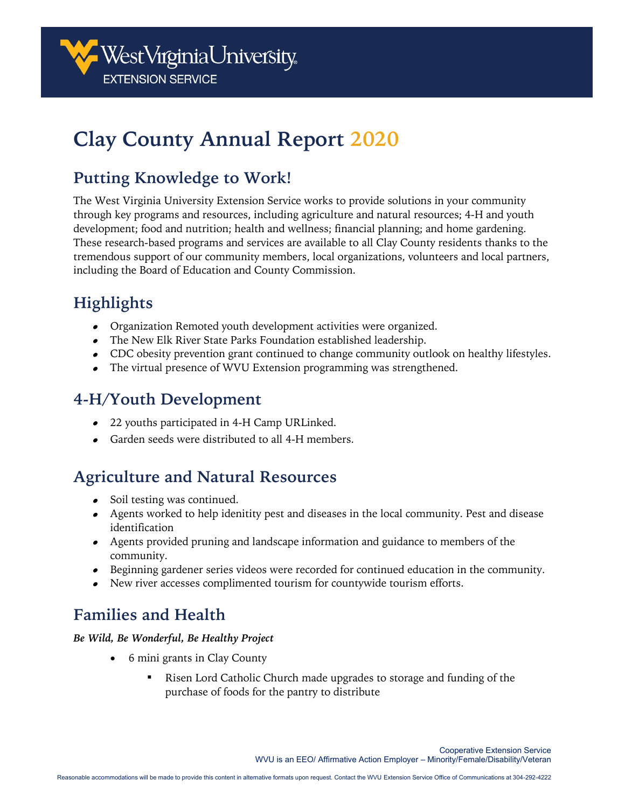

# **Clay County Annual Report 2020**

### **Putting Knowledge to Work!**

The West Virginia University Extension Service works to provide solutions in your community through key programs and resources, including agriculture and natural resources; 4-H and youth development; food and nutrition; health and wellness; financial planning; and home gardening. These research-based programs and services are available to all Clay County residents thanks to the tremendous support of our community members, local organizations, volunteers and local partners, including the Board of Education and County Commission.

## **Highlights**

- Organization Remoted youth development activities were organized.
- The New Elk River State Parks Foundation established leadership.
- CDC obesity prevention grant continued to change community outlook on healthy lifestyles.
- The virtual presence of WVU Extension programming was strengthened.

### **4-H/Youth Development**

- 22 youths participated in 4-H Camp URLinked.
- Garden seeds were distributed to all 4-H members.

#### **Agriculture and Natural Resources**

- Soil testing was continued.
- Agents worked to help idenitity pest and diseases in the local community. Pest and disease identification
- Agents provided pruning and landscape information and guidance to members of the community.
- Beginning gardener series videos were recorded for continued education in the community.
- New river accesses complimented tourism for countywide tourism efforts.

### **Families and Health**

#### *Be Wild, Be Wonderful, Be Healthy Project*

- 6 mini grants in Clay County
	- Risen Lord Catholic Church made upgrades to storage and funding of the purchase of foods for the pantry to distribute